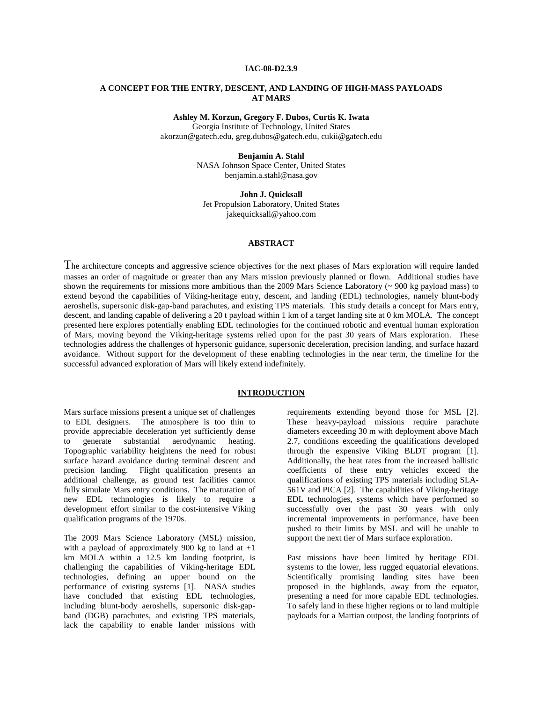### **IAC-08-D2.3.9**

## **A CONCEPT FOR THE ENTRY, DESCENT, AND LANDING OF HIGH-MASS PAYLOADS AT MARS**

**Ashley M. Korzun, Gregory F. Dubos, Curtis K. Iwata**

Georgia Institute of Technology, United States akorzun@gatech.edu, greg.dubos@gatech.edu, cukii@gatech.edu

#### **Benjamin A. Stahl**

NASA Johnson Space Center, United States benjamin.a.stahl@nasa.gov

**John J. Quicksall** 

Jet Propulsion Laboratory, United States jakequicksall@yahoo.com

## **ABSTRACT**

The architecture concepts and aggressive science objectives for the next phases of Mars exploration will require landed masses an order of magnitude or greater than any Mars mission previously planned or flown. Additional studies have shown the requirements for missions more ambitious than the 2009 Mars Science Laboratory (~ 900 kg payload mass) to extend beyond the capabilities of Viking-heritage entry, descent, and landing (EDL) technologies, namely blunt-body aeroshells, supersonic disk-gap-band parachutes, and existing TPS materials. This study details a concept for Mars entry, descent, and landing capable of delivering a 20 t payload within 1 km of a target landing site at 0 km MOLA. The concept presented here explores potentially enabling EDL technologies for the continued robotic and eventual human exploration of Mars, moving beyond the Viking-heritage systems relied upon for the past 30 years of Mars exploration. These technologies address the challenges of hypersonic guidance, supersonic deceleration, precision landing, and surface hazard avoidance. Without support for the development of these enabling technologies in the near term, the timeline for the successful advanced exploration of Mars will likely extend indefinitely.

#### **INTRODUCTION**

Mars surface missions present a unique set of challenges to EDL designers. The atmosphere is too thin to provide appreciable deceleration yet sufficiently dense<br>to generate substantial aerodynamic heating. substantial aerodynamic heating. Topographic variability heightens the need for robust surface hazard avoidance during terminal descent and precision landing. Flight qualification presents an additional challenge, as ground test facilities cannot fully simulate Mars entry conditions. The maturation of new EDL technologies is likely to require a development effort similar to the cost-intensive Viking qualification programs of the 1970s.

The 2009 Mars Science Laboratory (MSL) mission, with a payload of approximately 900 kg to land at  $+1$ km MOLA within a 12.5 km landing footprint, is challenging the capabilities of Viking-heritage EDL technologies, defining an upper bound on the performance of existing systems [1]. NASA studies have concluded that existing EDL technologies, including blunt-body aeroshells, supersonic disk-gapband (DGB) parachutes, and existing TPS materials, lack the capability to enable lander missions with

requirements extending beyond those for MSL [2]. These heavy-payload missions require parachute diameters exceeding 30 m with deployment above Mach 2.7, conditions exceeding the qualifications developed through the expensive Viking BLDT program [1]. Additionally, the heat rates from the increased ballistic coefficients of these entry vehicles exceed the qualifications of existing TPS materials including SLA-561V and PICA [2]. The capabilities of Viking-heritage EDL technologies, systems which have performed so successfully over the past 30 years with only incremental improvements in performance, have been pushed to their limits by MSL and will be unable to support the next tier of Mars surface exploration.

Past missions have been limited by heritage EDL systems to the lower, less rugged equatorial elevations. Scientifically promising landing sites have been proposed in the highlands, away from the equator, presenting a need for more capable EDL technologies. To safely land in these higher regions or to land multiple payloads for a Martian outpost, the landing footprints of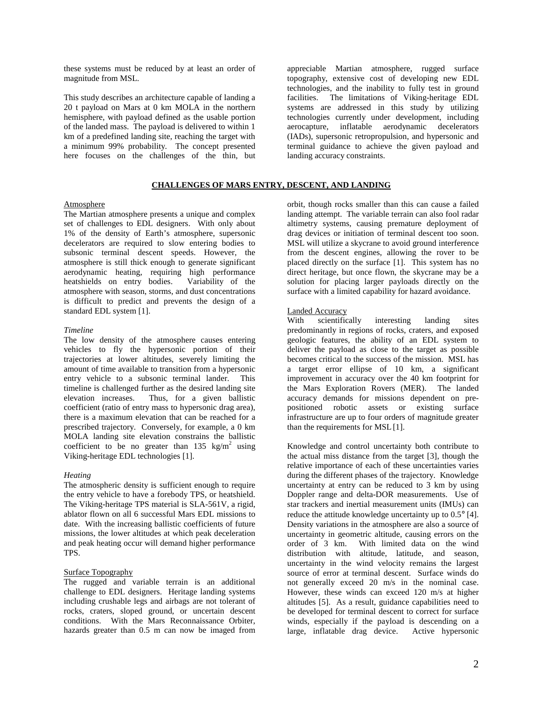these systems must be reduced by at least an order of magnitude from MSL.

This study describes an architecture capable of landing a 20 t payload on Mars at 0 km MOLA in the northern hemisphere, with payload defined as the usable portion of the landed mass. The payload is delivered to within 1 km of a predefined landing site, reaching the target with a minimum 99% probability. The concept presented here focuses on the challenges of the thin, but

## **CHALLENGES OF MARS ENTRY, DESCENT, AND LANDING**

## Atmosphere

The Martian atmosphere presents a unique and complex set of challenges to EDL designers. With only about 1% of the density of Earth's atmosphere, supersonic decelerators are required to slow entering bodies to subsonic terminal descent speeds. However, the atmosphere is still thick enough to generate significant aerodynamic heating, requiring high performance heatshields on entry bodies. Variability of the atmosphere with season, storms, and dust concentrations is difficult to predict and prevents the design of a standard EDL system [1].

#### *Timeline*

The low density of the atmosphere causes entering vehicles to fly the hypersonic portion of their trajectories at lower altitudes, severely limiting the amount of time available to transition from a hypersonic entry vehicle to a subsonic terminal lander. This timeline is challenged further as the desired landing site elevation increases. Thus, for a given ballistic coefficient (ratio of entry mass to hypersonic drag area), there is a maximum elevation that can be reached for a prescribed trajectory. Conversely, for example, a 0 km MOLA landing site elevation constrains the ballistic coefficient to be no greater than  $135 \text{ kg/m}^2$  using Viking-heritage EDL technologies [1].

#### *Heating*

The atmospheric density is sufficient enough to require the entry vehicle to have a forebody TPS, or heatshield. The Viking-heritage TPS material is SLA-561V, a rigid, ablator flown on all 6 successful Mars EDL missions to date. With the increasing ballistic coefficients of future missions, the lower altitudes at which peak deceleration and peak heating occur will demand higher performance TPS.

## Surface Topography

The rugged and variable terrain is an additional challenge to EDL designers. Heritage landing systems including crushable legs and airbags are not tolerant of rocks, craters, sloped ground, or uncertain descent conditions. With the Mars Reconnaissance Orbiter, hazards greater than 0.5 m can now be imaged from appreciable Martian atmosphere, rugged surface topography, extensive cost of developing new EDL technologies, and the inability to fully test in ground facilities. The limitations of Viking-heritage EDL systems are addressed in this study by utilizing technologies currently under development, including aerocapture, inflatable aerodynamic decelerators (IADs), supersonic retropropulsion, and hypersonic and terminal guidance to achieve the given payload and landing accuracy constraints.

orbit, though rocks smaller than this can cause a failed landing attempt. The variable terrain can also fool radar altimetry systems, causing premature deployment of drag devices or initiation of terminal descent too soon. MSL will utilize a skycrane to avoid ground interference from the descent engines, allowing the rover to be placed directly on the surface [1]. This system has no direct heritage, but once flown, the skycrane may be a solution for placing larger payloads directly on the surface with a limited capability for hazard avoidance.

#### Landed Accuracy

With scientifically interesting landing sites predominantly in regions of rocks, craters, and exposed geologic features, the ability of an EDL system to deliver the payload as close to the target as possible becomes critical to the success of the mission. MSL has a target error ellipse of 10 km, a significant improvement in accuracy over the 40 km footprint for the Mars Exploration Rovers (MER). The landed accuracy demands for missions dependent on prepositioned robotic assets or existing surface infrastructure are up to four orders of magnitude greater than the requirements for MSL[1].

Knowledge and control uncertainty both contribute to the actual miss distance from the target [3], though the relative importance of each of these uncertainties varies during the different phases of the trajectory. Knowledge uncertainty at entry can be reduced to 3 km by using Doppler range and delta-DOR measurements. Use of star trackers and inertial measurement units (IMUs) can reduce the attitude knowledge uncertainty up to 0.5° [4]. Density variations in the atmosphere are also a source of uncertainty in geometric altitude, causing errors on the order of 3 km. With limited data on the wind With limited data on the wind distribution with altitude, latitude, and season, uncertainty in the wind velocity remains the largest source of error at terminal descent. Surface winds do not generally exceed 20 m/s in the nominal case. However, these winds can exceed 120 m/s at higher altitudes [5]. As a result, guidance capabilities need to be developed for terminal descent to correct for surface winds, especially if the payload is descending on a large, inflatable drag device. Active hypersonic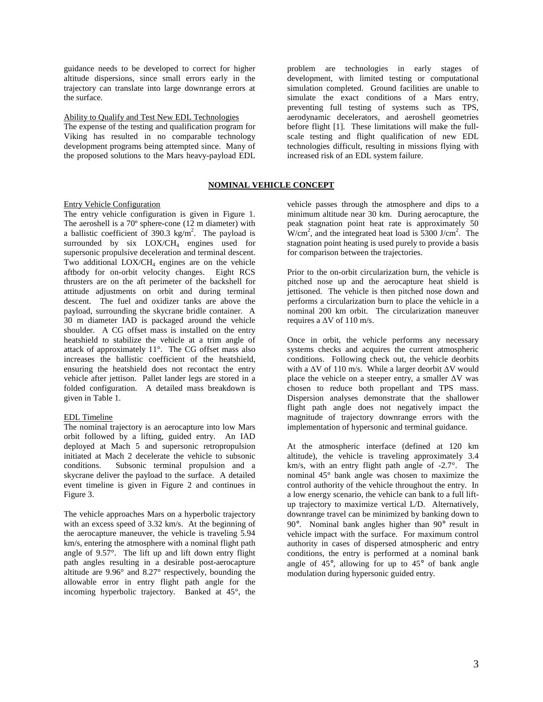guidance needs to be developed to correct for higher altitude dispersions, since small errors early in the trajectory can translate into large downrange errors at the surface.

## Ability to Qualify and Test New EDL Technologies

The expense of the testing and qualification program for Viking has resulted in no comparable technology development programs being attempted since. Many of the proposed solutions to the Mars heavy-payload EDL

## **NOMINAL VEHICLE CONCEPT**

## Entry Vehicle Configuration

The entry vehicle configuration is given in Figure 1. The aeroshell is a 70º sphere-cone (12 m diameter) with a ballistic coefficient of 390.3  $\text{kg/m}^2$ . The payload is surrounded by  $six$  LOX/CH<sub>4</sub> engines used for supersonic propulsive deceleration and terminal descent. Two additional  $LOX/CH<sub>4</sub>$  engines are on the vehicle aftbody for on-orbit velocity changes. Eight RCS thrusters are on the aft perimeter of the backshell for attitude adjustments on orbit and during terminal descent. The fuel and oxidizer tanks are above the payload, surrounding the skycrane bridle container. A 30 m diameter IAD is packaged around the vehicle shoulder. A CG offset mass is installed on the entry heatshield to stabilize the vehicle at a trim angle of attack of approximately 11°. The CG offset mass also increases the ballistic coefficient of the heatshield, ensuring the heatshield does not recontact the entry vehicle after jettison. Pallet lander legs are stored in a folded configuration. A detailed mass breakdown is given in Table 1.

#### EDL Timeline

The nominal trajectory is an aerocapture into low Mars orbit followed by a lifting, guided entry. An IAD deployed at Mach 5 and supersonic retropropulsion initiated at Mach 2 decelerate the vehicle to subsonic conditions. Subsonic terminal propulsion and a skycrane deliver the payload to the surface. A detailed event timeline is given in Figure 2 and continues in Figure 3.

The vehicle approaches Mars on a hyperbolic trajectory with an excess speed of 3.32 km/s. At the beginning of the aerocapture maneuver, the vehicle is traveling 5.94 km/s, entering the atmosphere with a nominal flight path angle of 9.57°. The lift up and lift down entry flight path angles resulting in a desirable post-aerocapture altitude are 9.96° and 8.27° respectively, bounding the allowable error in entry flight path angle for the incoming hyperbolic trajectory. Banked at 45°, the

problem are technologies in early stages of development, with limited testing or computational simulation completed. Ground facilities are unable to simulate the exact conditions of a Mars entry, preventing full testing of systems such as TPS, aerodynamic decelerators, and aeroshell geometries before flight [1]. These limitations will make the fullscale testing and flight qualification of new EDL technologies difficult, resulting in missions flying with increased risk of an EDL system failure.

vehicle passes through the atmosphere and dips to a minimum altitude near 30 km. During aerocapture, the peak stagnation point heat rate is approximately 50  $W/cm<sup>2</sup>$ , and the integrated heat load is 5300 J/cm<sup>2</sup>. The stagnation point heating is used purely to provide a basis for comparison between the trajectories.

Prior to the on-orbit circularization burn, the vehicle is pitched nose up and the aerocapture heat shield is jettisoned. The vehicle is then pitched nose down and performs a circularization burn to place the vehicle in a nominal 200 km orbit. The circularization maneuver requires a  $\Delta V$  of 110 m/s.

Once in orbit, the vehicle performs any necessary systems checks and acquires the current atmospheric conditions. Following check out, the vehicle deorbits with a ∆V of 110 m/s. While a larger deorbit ∆V would place the vehicle on a steeper entry, a smaller  $\Delta V$  was chosen to reduce both propellant and TPS mass. Dispersion analyses demonstrate that the shallower flight path angle does not negatively impact the magnitude of trajectory downrange errors with the implementation of hypersonic and terminal guidance.

At the atmospheric interface (defined at 120 km altitude), the vehicle is traveling approximately 3.4 km/s, with an entry flight path angle of -2.7°. The nominal 45° bank angle was chosen to maximize the control authority of the vehicle throughout the entry. In a low energy scenario, the vehicle can bank to a full liftup trajectory to maximize vertical L/D. Alternatively, downrange travel can be minimized by banking down to 90°. Nominal bank angles higher than 90° result in vehicle impact with the surface. For maximum control authority in cases of dispersed atmospheric and entry conditions, the entry is performed at a nominal bank angle of 45°, allowing for up to 45° of bank angle modulation during hypersonic guided entry.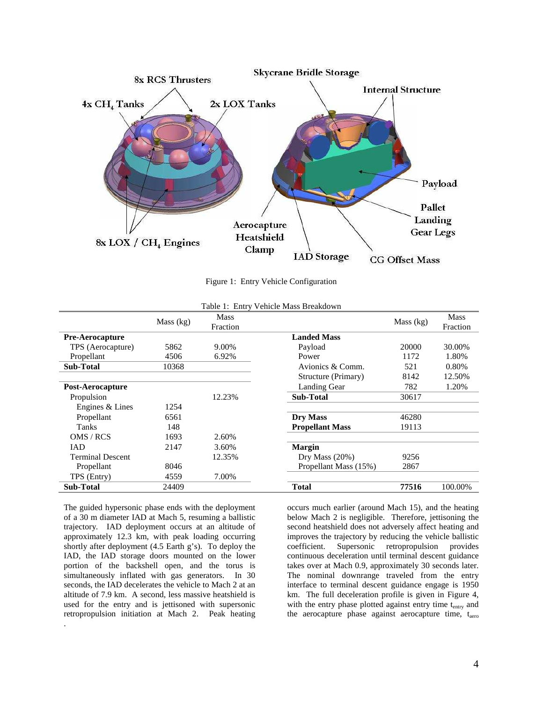

Figure 1: Entry Vehicle Configuration

| Table 1: Entry Vehicle Mass Breakdown |             |                         |                         |           |         |  |  |
|---------------------------------------|-------------|-------------------------|-------------------------|-----------|---------|--|--|
|                                       | Mass $(kg)$ | <b>Mass</b><br>Fraction |                         | Mass (kg) |         |  |  |
| <b>Pre-Aerocapture</b>                |             |                         | <b>Landed Mass</b>      |           |         |  |  |
| TPS (Aerocapture)                     | 5862        | 9.00%                   | Payload                 | 20000     | 30.00%  |  |  |
| Propellant                            | 4506        | 6.92%                   | Power                   | 1172      | 1.80%   |  |  |
| <b>Sub-Total</b>                      | 10368       |                         | 521<br>Avionics & Comm. |           | 0.80%   |  |  |
|                                       |             |                         | Structure (Primary)     | 8142      | 12.50%  |  |  |
| <b>Post-Aerocapture</b>               |             |                         | Landing Gear            | 782       | 1.20%   |  |  |
| Propulsion                            |             | 12.23%                  | <b>Sub-Total</b>        | 30617     |         |  |  |
| Engines & Lines                       | 1254        |                         |                         |           |         |  |  |
| Propellant                            | 6561        |                         | Dry Mass                | 46280     |         |  |  |
| Tanks                                 | 148         |                         | <b>Propellant Mass</b>  | 19113     |         |  |  |
| OMS / RCS                             | 1693        | 2.60%                   |                         |           |         |  |  |
| IAD                                   | 2147        | 3.60%                   | <b>Margin</b>           |           |         |  |  |
| <b>Terminal Descent</b>               |             | 12.35%                  | Dry Mass $(20%)$        | 9256      |         |  |  |
| Propellant                            | 8046        |                         | Propellant Mass (15%)   | 2867      |         |  |  |
| TPS (Entry)                           | 4559        | 7.00%                   |                         |           |         |  |  |
| <b>Sub-Total</b>                      | 24409       |                         | <b>Total</b>            | 77516     | 100.00% |  |  |

The guided hypersonic phase ends with the deployment of a 30 m diameter IAD at Mach 5, resuming a ballistic trajectory. IAD deployment occurs at an altitude of approximately 12.3 km, with peak loading occurring shortly after deployment (4.5 Earth g's). To deploy the IAD, the IAD storage doors mounted on the lower portion of the backshell open, and the torus is simultaneously inflated with gas generators. In 30 seconds, the IAD decelerates the vehicle to Mach 2 at an altitude of 7.9 km. A second, less massive heatshield is used for the entry and is jettisoned with supersonic retropropulsion initiation at Mach 2. Peak heating .

occurs much earlier (around Mach 15), and the heating below Mach 2 is negligible. Therefore, jettisoning the second heatshield does not adversely affect heating and improves the trajectory by reducing the vehicle ballistic coefficient. Supersonic retropropulsion provides retropropulsion provides continuous deceleration until terminal descent guidance takes over at Mach 0.9, approximately 30 seconds later. The nominal downrange traveled from the entry interface to terminal descent guidance engage is 1950 km. The full deceleration profile is given in Figure 4, with the entry phase plotted against entry time t<sub>entry</sub> and the aerocapture phase against aerocapture time, taero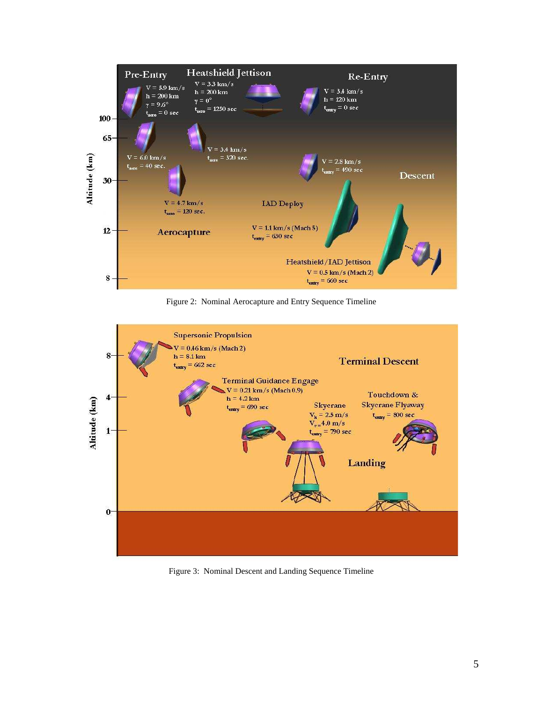

Figure 2: Nominal Aerocapture and Entry Sequence Timeline



Figure 3: Nominal Descent and Landing Sequence Timeline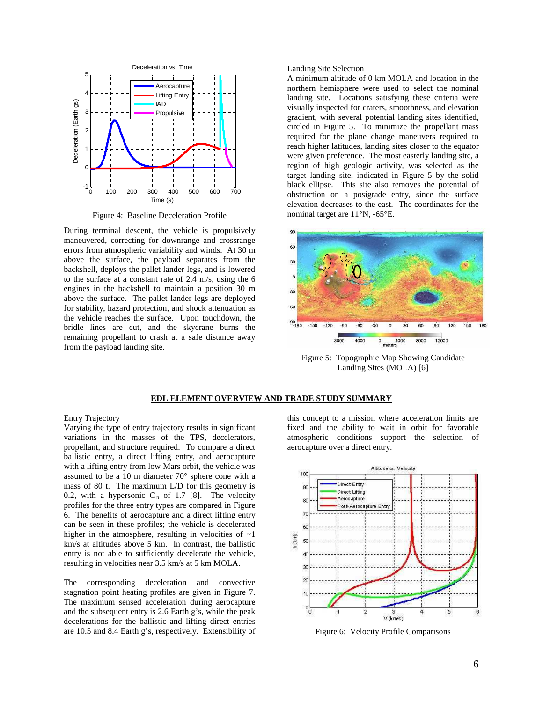

Figure 4: Baseline Deceleration Profile

During terminal descent, the vehicle is propulsively maneuvered, correcting for downrange and crossrange errors from atmospheric variability and winds. At 30 m above the surface, the payload separates from the backshell, deploys the pallet lander legs, and is lowered to the surface at a constant rate of 2.4 m/s, using the 6 engines in the backshell to maintain a position 30 m above the surface. The pallet lander legs are deployed for stability, hazard protection, and shock attenuation as the vehicle reaches the surface. Upon touchdown, the bridle lines are cut, and the skycrane burns the remaining propellant to crash at a safe distance away from the payload landing site.

### Landing Site Selection

A minimum altitude of 0 km MOLA and location in the northern hemisphere were used to select the nominal landing site. Locations satisfying these criteria were visually inspected for craters, smoothness, and elevation gradient, with several potential landing sites identified, circled in Figure 5. To minimize the propellant mass required for the plane change maneuvers required to reach higher latitudes, landing sites closer to the equator were given preference. The most easterly landing site, a region of high geologic activity, was selected as the target landing site, indicated in Figure 5 by the solid black ellipse. This site also removes the potential of obstruction on a posigrade entry, since the surface elevation decreases to the east. The coordinates for the nominal target are 11°N, -65°E.



Figure 5: Topographic Map Showing Candidate Landing Sites (MOLA) [6]

### **EDL ELEMENT OVERVIEW AND TRADE STUDY SUMMARY**

#### Entry Trajectory

Varying the type of entry trajectory results in significant variations in the masses of the TPS, decelerators, propellant, and structure required. To compare a direct ballistic entry, a direct lifting entry, and aerocapture with a lifting entry from low Mars orbit, the vehicle was assumed to be a 10 m diameter 70° sphere cone with a mass of 80 t. The maximum L/D for this geometry is 0.2, with a hypersonic  $C_D$  of 1.7 [8]. The velocity profiles for the three entry types are compared in Figure 6. The benefits of aerocapture and a direct lifting entry can be seen in these profiles; the vehicle is decelerated higher in the atmosphere, resulting in velocities of  $\sim$ 1 km/s at altitudes above 5 km. In contrast, the ballistic entry is not able to sufficiently decelerate the vehicle, resulting in velocities near 3.5 km/s at 5 km MOLA.

The corresponding deceleration and convective stagnation point heating profiles are given in Figure 7. The maximum sensed acceleration during aerocapture and the subsequent entry is 2.6 Earth g's, while the peak decelerations for the ballistic and lifting direct entries are 10.5 and 8.4 Earth g's, respectively. Extensibility of this concept to a mission where acceleration limits are fixed and the ability to wait in orbit for favorable atmospheric conditions support the selection of aerocapture over a direct entry.



Figure 6: Velocity Profile Comparisons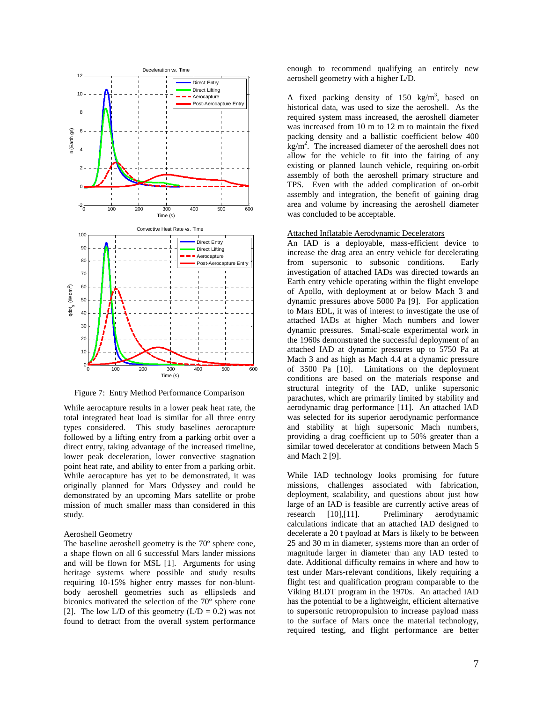

Figure 7: Entry Method Performance Comparison

While aerocapture results in a lower peak heat rate, the total integrated heat load is similar for all three entry types considered. This study baselines aerocapture followed by a lifting entry from a parking orbit over a direct entry, taking advantage of the increased timeline, lower peak deceleration, lower convective stagnation point heat rate, and ability to enter from a parking orbit. While aerocapture has yet to be demonstrated, it was originally planned for Mars Odyssey and could be demonstrated by an upcoming Mars satellite or probe mission of much smaller mass than considered in this study.

#### Aeroshell Geometry

The baseline aeroshell geometry is the 70º sphere cone, a shape flown on all 6 successful Mars lander missions and will be flown for MSL [1]. Arguments for using heritage systems where possible and study results requiring 10-15% higher entry masses for non-bluntbody aeroshell geometries such as ellipsleds and biconics motivated the selection of the 70º sphere cone [2]. The low L/D of this geometry  $(L/D = 0.2)$  was not found to detract from the overall system performance

enough to recommend qualifying an entirely new aeroshell geometry with a higher L/D.

A fixed packing density of  $150 \text{ kg/m}^3$ , based on historical data, was used to size the aeroshell. As the required system mass increased, the aeroshell diameter was increased from 10 m to 12 m to maintain the fixed packing density and a ballistic coefficient below 400  $\text{kg/m}^2$ . The increased diameter of the aeroshell does not allow for the vehicle to fit into the fairing of any existing or planned launch vehicle, requiring on-orbit assembly of both the aeroshell primary structure and TPS. Even with the added complication of on-orbit assembly and integration, the benefit of gaining drag area and volume by increasing the aeroshell diameter was concluded to be acceptable.

#### Attached Inflatable Aerodynamic Decelerators

An IAD is a deployable, mass-efficient device to increase the drag area an entry vehicle for decelerating from supersonic to subsonic conditions. Early investigation of attached IADs was directed towards an Earth entry vehicle operating within the flight envelope of Apollo, with deployment at or below Mach 3 and dynamic pressures above 5000 Pa [9]. For application to Mars EDL, it was of interest to investigate the use of attached IADs at higher Mach numbers and lower dynamic pressures. Small-scale experimental work in the 1960s demonstrated the successful deployment of an attached IAD at dynamic pressures up to 5750 Pa at Mach 3 and as high as Mach 4.4 at a dynamic pressure of 3500 Pa [10]. Limitations on the deployment conditions are based on the materials response and structural integrity of the IAD, unlike supersonic parachutes, which are primarily limited by stability and aerodynamic drag performance [11]. An attached IAD was selected for its superior aerodynamic performance and stability at high supersonic Mach numbers, providing a drag coefficient up to 50% greater than a similar towed decelerator at conditions between Mach 5 and Mach 2 [9].

While IAD technology looks promising for future missions, challenges associated with fabrication, deployment, scalability, and questions about just how large of an IAD is feasible are currently active areas of research [10],[11]. Preliminary aerodynamic calculations indicate that an attached IAD designed to decelerate a 20 t payload at Mars is likely to be between 25 and 30 m in diameter, systems more than an order of magnitude larger in diameter than any IAD tested to date. Additional difficulty remains in where and how to test under Mars-relevant conditions, likely requiring a flight test and qualification program comparable to the Viking BLDT program in the 1970s. An attached IAD has the potential to be a lightweight, efficient alternative to supersonic retropropulsion to increase payload mass to the surface of Mars once the material technology, required testing, and flight performance are better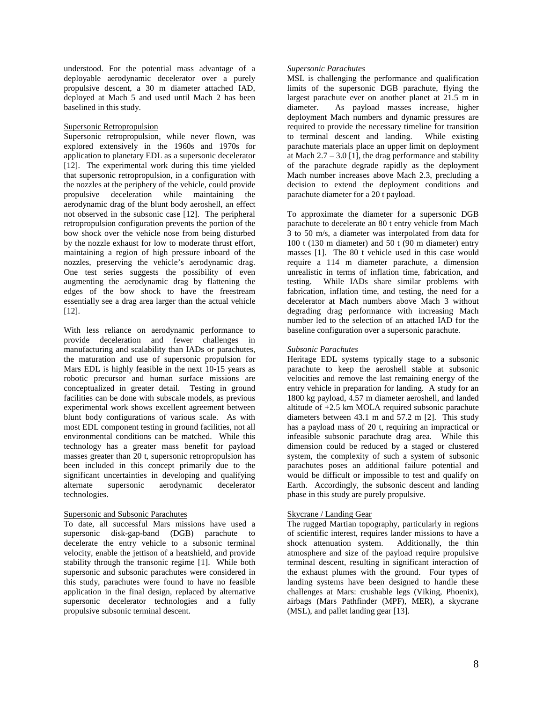understood. For the potential mass advantage of a deployable aerodynamic decelerator over a purely propulsive descent, a 30 m diameter attached IAD, deployed at Mach 5 and used until Mach 2 has been baselined in this study.

# Supersonic Retropropulsion

Supersonic retropropulsion, while never flown, was explored extensively in the 1960s and 1970s for application to planetary EDL as a supersonic decelerator [12]. The experimental work during this time yielded that supersonic retropropulsion, in a configuration with the nozzles at the periphery of the vehicle, could provide propulsive deceleration while maintaining the aerodynamic drag of the blunt body aeroshell, an effect not observed in the subsonic case [12]. The peripheral retropropulsion configuration prevents the portion of the bow shock over the vehicle nose from being disturbed by the nozzle exhaust for low to moderate thrust effort, maintaining a region of high pressure inboard of the nozzles, preserving the vehicle's aerodynamic drag. One test series suggests the possibility of even augmenting the aerodynamic drag by flattening the edges of the bow shock to have the freestream essentially see a drag area larger than the actual vehicle [12].

With less reliance on aerodynamic performance to provide deceleration and fewer challenges in manufacturing and scalability than IADs or parachutes, the maturation and use of supersonic propulsion for Mars EDL is highly feasible in the next 10-15 years as robotic precursor and human surface missions are conceptualized in greater detail. Testing in ground facilities can be done with subscale models, as previous experimental work shows excellent agreement between blunt body configurations of various scale. As with most EDL component testing in ground facilities, not all environmental conditions can be matched. While this technology has a greater mass benefit for payload masses greater than 20 t, supersonic retropropulsion has been included in this concept primarily due to the significant uncertainties in developing and qualifying alternate supersonic aerodynamic decelerator technologies.

# Supersonic and Subsonic Parachutes

To date, all successful Mars missions have used a supersonic disk-gap-band (DGB) parachute to decelerate the entry vehicle to a subsonic terminal velocity, enable the jettison of a heatshield, and provide stability through the transonic regime [1]. While both supersonic and subsonic parachutes were considered in this study, parachutes were found to have no feasible application in the final design, replaced by alternative supersonic decelerator technologies and a fully propulsive subsonic terminal descent.

## *Supersonic Parachutes*

MSL is challenging the performance and qualification limits of the supersonic DGB parachute, flying the largest parachute ever on another planet at 21.5 m in diameter. As payload masses increase, higher deployment Mach numbers and dynamic pressures are required to provide the necessary timeline for transition<br>to terminal descent and landing. While existing to terminal descent and landing. parachute materials place an upper limit on deployment at Mach  $2.7 - 3.0$  [1], the drag performance and stability of the parachute degrade rapidly as the deployment Mach number increases above Mach 2.3, precluding a decision to extend the deployment conditions and parachute diameter for a 20 t payload.

To approximate the diameter for a supersonic DGB parachute to decelerate an 80 t entry vehicle from Mach 3 to 50 m/s, a diameter was interpolated from data for 100 t (130 m diameter) and 50 t (90 m diameter) entry masses [1]. The 80 t vehicle used in this case would require a 114 m diameter parachute, a dimension unrealistic in terms of inflation time, fabrication, and testing. While IADs share similar problems with fabrication, inflation time, and testing, the need for a decelerator at Mach numbers above Mach 3 without degrading drag performance with increasing Mach number led to the selection of an attached IAD for the baseline configuration over a supersonic parachute.

## *Subsonic Parachutes*

Heritage EDL systems typically stage to a subsonic parachute to keep the aeroshell stable at subsonic velocities and remove the last remaining energy of the entry vehicle in preparation for landing. A study for an 1800 kg payload, 4.57 m diameter aeroshell, and landed altitude of +2.5 km MOLA required subsonic parachute diameters between 43.1 m and 57.2 m [2]. This study has a payload mass of 20 t, requiring an impractical or infeasible subsonic parachute drag area. While this dimension could be reduced by a staged or clustered system, the complexity of such a system of subsonic parachutes poses an additional failure potential and would be difficult or impossible to test and qualify on Earth. Accordingly, the subsonic descent and landing phase in this study are purely propulsive.

## Skycrane / Landing Gear

The rugged Martian topography, particularly in regions of scientific interest, requires lander missions to have a shock attenuation system. Additionally, the thin atmosphere and size of the payload require propulsive terminal descent, resulting in significant interaction of the exhaust plumes with the ground. Four types of landing systems have been designed to handle these challenges at Mars: crushable legs (Viking, Phoenix), airbags (Mars Pathfinder (MPF), MER), a skycrane (MSL), and pallet landing gear [13].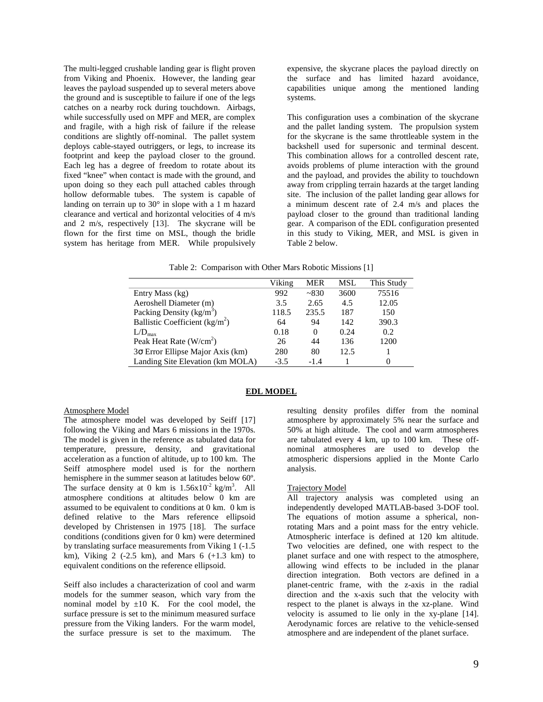The multi-legged crushable landing gear is flight proven from Viking and Phoenix. However, the landing gear leaves the payload suspended up to several meters above the ground and is susceptible to failure if one of the legs catches on a nearby rock during touchdown. Airbags, while successfully used on MPF and MER, are complex and fragile, with a high risk of failure if the release conditions are slightly off-nominal. The pallet system deploys cable-stayed outriggers, or legs, to increase its footprint and keep the payload closer to the ground. Each leg has a degree of freedom to rotate about its fixed "knee" when contact is made with the ground, and upon doing so they each pull attached cables through hollow deformable tubes. The system is capable of landing on terrain up to 30° in slope with a 1 m hazard clearance and vertical and horizontal velocities of 4 m/s and 2 m/s, respectively [13]. The skycrane will be flown for the first time on MSL, though the bridle system has heritage from MER. While propulsively

expensive, the skycrane places the payload directly on the surface and has limited hazard avoidance, capabilities unique among the mentioned landing systems.

This configuration uses a combination of the skycrane and the pallet landing system. The propulsion system for the skycrane is the same throttleable system in the backshell used for supersonic and terminal descent. This combination allows for a controlled descent rate, avoids problems of plume interaction with the ground and the payload, and provides the ability to touchdown away from crippling terrain hazards at the target landing site. The inclusion of the pallet landing gear allows for a minimum descent rate of 2.4 m/s and places the payload closer to the ground than traditional landing gear. A comparison of the EDL configuration presented in this study to Viking, MER, and MSL is given in Table 2 below.

Table 2: Comparison with Other Mars Robotic Missions [1]

|                                         | Viking | <b>MER</b> | <b>MSL</b> | This Study |
|-----------------------------------------|--------|------------|------------|------------|
| Entry Mass (kg)                         | 992    | ~2830      | 3600       | 75516      |
| Aeroshell Diameter (m)                  | 3.5    | 2.65       | 4.5        | 12.05      |
| Packing Density (kg/m <sup>3</sup> )    | 118.5  | 235.5      | 187        | 150        |
| Ballistic Coefficient ( $kg/m2$ )       | 64     | 94         | 142        | 390.3      |
| $L/D_{max}$                             | 0.18   | $\Omega$   | 0.24       | 0.2        |
| Peak Heat Rate $(W/cm2)$                | 26     | 44         | 136        | 1200       |
| $3\sigma$ Error Ellipse Major Axis (km) | 280    | 80         | 12.5       |            |
| Landing Site Elevation (km MOLA)        | $-3.5$ | $-1.4$     |            | 0          |

## **EDL MODEL**

## Atmosphere Model

The atmosphere model was developed by Seiff [17] following the Viking and Mars 6 missions in the 1970s. The model is given in the reference as tabulated data for temperature, pressure, density, and gravitational acceleration as a function of altitude, up to 100 km. The Seiff atmosphere model used is for the northern hemisphere in the summer season at latitudes below 60º. The surface density at 0 km is  $1.56 \times 10^{-2}$  kg/m<sup>3</sup>. All atmosphere conditions at altitudes below 0 km are assumed to be equivalent to conditions at 0 km. 0 km is defined relative to the Mars reference ellipsoid developed by Christensen in 1975 [18]. The surface conditions (conditions given for 0 km) were determined by translating surface measurements from Viking 1 (-1.5 km), Viking  $2$  (-2.5 km), and Mars 6 (+1.3 km) to equivalent conditions on the reference ellipsoid.

Seiff also includes a characterization of cool and warm models for the summer season, which vary from the nominal model by  $\pm 10$  K. For the cool model, the surface pressure is set to the minimum measured surface pressure from the Viking landers. For the warm model, the surface pressure is set to the maximum. The

resulting density profiles differ from the nominal atmosphere by approximately 5% near the surface and 50% at high altitude. The cool and warm atmospheres are tabulated every 4 km, up to 100 km. These offnominal atmospheres are used to develop the atmospheric dispersions applied in the Monte Carlo analysis.

## Trajectory Model

All trajectory analysis was completed using an independently developed MATLAB-based 3-DOF tool. The equations of motion assume a spherical, nonrotating Mars and a point mass for the entry vehicle. Atmospheric interface is defined at 120 km altitude. Two velocities are defined, one with respect to the planet surface and one with respect to the atmosphere, allowing wind effects to be included in the planar direction integration. Both vectors are defined in a planet-centric frame, with the z-axis in the radial direction and the x-axis such that the velocity with respect to the planet is always in the xz-plane. Wind velocity is assumed to lie only in the xy-plane [14]. Aerodynamic forces are relative to the vehicle-sensed atmosphere and are independent of the planet surface.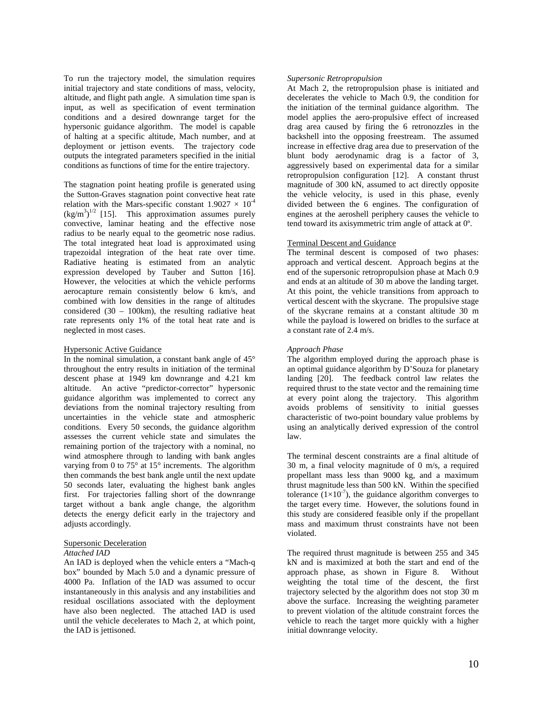To run the trajectory model, the simulation requires initial trajectory and state conditions of mass, velocity, altitude, and flight path angle. A simulation time span is input, as well as specification of event termination conditions and a desired downrange target for the hypersonic guidance algorithm. The model is capable of halting at a specific altitude, Mach number, and at deployment or jettison events. The trajectory code outputs the integrated parameters specified in the initial conditions as functions of time for the entire trajectory.

The stagnation point heating profile is generated using the Sutton-Graves stagnation point convective heat rate relation with the Mars-specific constant  $1.9027 \times 10^{-4}$  $(\text{kg/m}^3)^{1/2}$  [15]. This approximation assumes purely convective, laminar heating and the effective nose radius to be nearly equal to the geometric nose radius. The total integrated heat load is approximated using trapezoidal integration of the heat rate over time. Radiative heating is estimated from an analytic expression developed by Tauber and Sutton [16]. However, the velocities at which the vehicle performs aerocapture remain consistently below 6 km/s, and combined with low densities in the range of altitudes considered  $(30 - 100 \text{km})$ , the resulting radiative heat rate represents only 1% of the total heat rate and is neglected in most cases.

#### Hypersonic Active Guidance

In the nominal simulation, a constant bank angle of  $45^{\circ}$ throughout the entry results in initiation of the terminal descent phase at 1949 km downrange and 4.21 km altitude. An active "predictor-corrector" hypersonic guidance algorithm was implemented to correct any deviations from the nominal trajectory resulting from uncertainties in the vehicle state and atmospheric conditions. Every 50 seconds, the guidance algorithm assesses the current vehicle state and simulates the remaining portion of the trajectory with a nominal, no wind atmosphere through to landing with bank angles varying from 0 to  $75^{\circ}$  at  $15^{\circ}$  increments. The algorithm then commands the best bank angle until the next update 50 seconds later, evaluating the highest bank angles first. For trajectories falling short of the downrange target without a bank angle change, the algorithm detects the energy deficit early in the trajectory and adjusts accordingly.

## Supersonic Deceleration

#### *Attached IAD*

An IAD is deployed when the vehicle enters a "Mach-q box" bounded by Mach 5.0 and a dynamic pressure of 4000 Pa. Inflation of the IAD was assumed to occur instantaneously in this analysis and any instabilities and residual oscillations associated with the deployment have also been neglected. The attached IAD is used until the vehicle decelerates to Mach 2, at which point, the IAD is jettisoned.

#### *Supersonic Retropropulsion*

At Mach 2, the retropropulsion phase is initiated and decelerates the vehicle to Mach 0.9, the condition for the initiation of the terminal guidance algorithm. The model applies the aero-propulsive effect of increased drag area caused by firing the 6 retronozzles in the backshell into the opposing freestream. The assumed increase in effective drag area due to preservation of the blunt body aerodynamic drag is a factor of 3, aggressively based on experimental data for a similar retropropulsion configuration [12]. A constant thrust magnitude of 300 kN, assumed to act directly opposite the vehicle velocity, is used in this phase, evenly divided between the 6 engines. The configuration of engines at the aeroshell periphery causes the vehicle to tend toward its axisymmetric trim angle of attack at 0º.

## Terminal Descent and Guidance

The terminal descent is composed of two phases: approach and vertical descent. Approach begins at the end of the supersonic retropropulsion phase at Mach 0.9 and ends at an altitude of 30 m above the landing target. At this point, the vehicle transitions from approach to vertical descent with the skycrane. The propulsive stage of the skycrane remains at a constant altitude 30 m while the payload is lowered on bridles to the surface at a constant rate of 2.4 m/s.

# *Approach Phase*

The algorithm employed during the approach phase is an optimal guidance algorithm by D'Souza for planetary landing [20]. The feedback control law relates the required thrust to the state vector and the remaining time at every point along the trajectory. This algorithm avoids problems of sensitivity to initial guesses characteristic of two-point boundary value problems by using an analytically derived expression of the control law.

The terminal descent constraints are a final altitude of 30 m, a final velocity magnitude of 0 m/s, a required propellant mass less than 9000 kg, and a maximum thrust magnitude less than 500 kN. Within the specified tolerance  $(1\times10^{-7})$ , the guidance algorithm converges to the target every time. However, the solutions found in this study are considered feasible only if the propellant mass and maximum thrust constraints have not been violated.

The required thrust magnitude is between 255 and 345 kN and is maximized at both the start and end of the approach phase, as shown in Figure 8. Without weighting the total time of the descent, the first trajectory selected by the algorithm does not stop 30 m above the surface. Increasing the weighting parameter to prevent violation of the altitude constraint forces the vehicle to reach the target more quickly with a higher initial downrange velocity.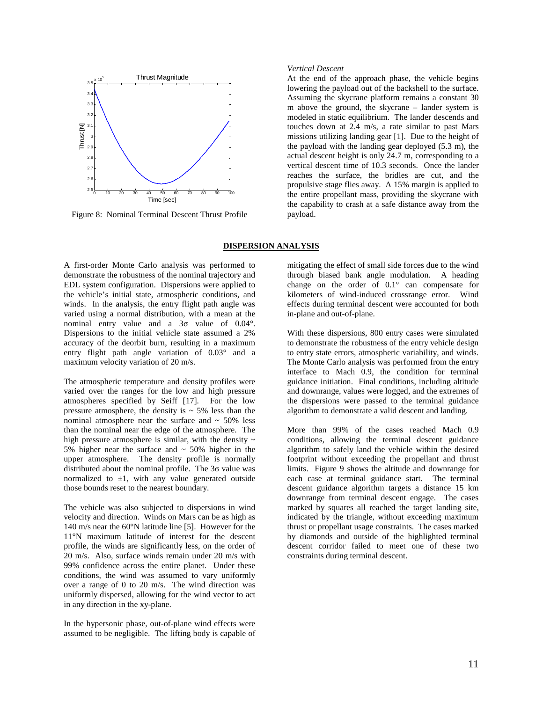

Figure 8: Nominal Terminal Descent Thrust Profile

## *Vertical Descent*

At the end of the approach phase, the vehicle begins lowering the payload out of the backshell to the surface. Assuming the skycrane platform remains a constant 30 m above the ground, the skycrane – lander system is modeled in static equilibrium. The lander descends and touches down at 2.4 m/s, a rate similar to past Mars missions utilizing landing gear [1]. Due to the height of the payload with the landing gear deployed (5.3 m), the actual descent height is only 24.7 m, corresponding to a vertical descent time of 10.3 seconds. Once the lander reaches the surface, the bridles are cut, and the propulsive stage flies away. A 15% margin is applied to the entire propellant mass, providing the skycrane with the capability to crash at a safe distance away from the payload.

## **DISPERSION ANALYSIS**

A first-order Monte Carlo analysis was performed to demonstrate the robustness of the nominal trajectory and EDL system configuration. Dispersions were applied to the vehicle's initial state, atmospheric conditions, and winds. In the analysis, the entry flight path angle was varied using a normal distribution, with a mean at the nominal entry value and a 3σ value of 0.04°. Dispersions to the initial vehicle state assumed a 2% accuracy of the deorbit burn, resulting in a maximum entry flight path angle variation of 0.03° and a maximum velocity variation of 20 m/s.

The atmospheric temperature and density profiles were varied over the ranges for the low and high pressure atmospheres specified by Seiff [17]. For the low pressure atmosphere, the density is  $\sim$  5% less than the nominal atmosphere near the surface and  $\sim$  50% less than the nominal near the edge of the atmosphere. The high pressure atmosphere is similar, with the density  $\sim$ 5% higher near the surface and  $\sim$  50% higher in the upper atmosphere. The density profile is normally distributed about the nominal profile. The 3σ value was normalized to  $\pm 1$ , with any value generated outside those bounds reset to the nearest boundary.

The vehicle was also subjected to dispersions in wind velocity and direction. Winds on Mars can be as high as 140 m/s near the 60°N latitude line [5]. However for the 11°N maximum latitude of interest for the descent profile, the winds are significantly less, on the order of 20 m/s. Also, surface winds remain under 20 m/s with 99% confidence across the entire planet. Under these conditions, the wind was assumed to vary uniformly over a range of 0 to 20 m/s. The wind direction was uniformly dispersed, allowing for the wind vector to act in any direction in the xy-plane.

In the hypersonic phase, out-of-plane wind effects were assumed to be negligible. The lifting body is capable of

mitigating the effect of small side forces due to the wind through biased bank angle modulation. A heading change on the order of 0.1° can compensate for kilometers of wind-induced crossrange error. Wind effects during terminal descent were accounted for both in-plane and out-of-plane.

With these dispersions, 800 entry cases were simulated to demonstrate the robustness of the entry vehicle design to entry state errors, atmospheric variability, and winds. The Monte Carlo analysis was performed from the entry interface to Mach 0.9, the condition for terminal guidance initiation. Final conditions, including altitude and downrange, values were logged, and the extremes of the dispersions were passed to the terminal guidance algorithm to demonstrate a valid descent and landing.

More than 99% of the cases reached Mach 0.9 conditions, allowing the terminal descent guidance algorithm to safely land the vehicle within the desired footprint without exceeding the propellant and thrust limits. Figure 9 shows the altitude and downrange for each case at terminal guidance start. The terminal descent guidance algorithm targets a distance 15 km downrange from terminal descent engage. The cases marked by squares all reached the target landing site, indicated by the triangle, without exceeding maximum thrust or propellant usage constraints. The cases marked by diamonds and outside of the highlighted terminal descent corridor failed to meet one of these two constraints during terminal descent.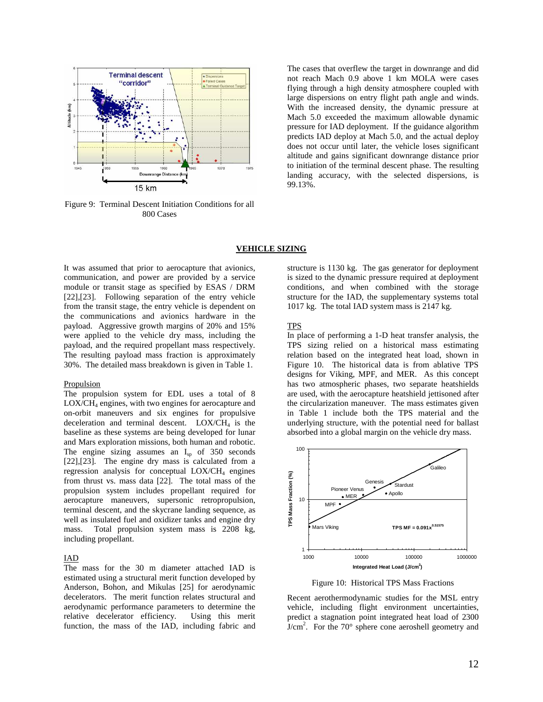

Figure 9: Terminal Descent Initiation Conditions for all 800 Cases

The cases that overflew the target in downrange and did not reach Mach 0.9 above 1 km MOLA were cases flying through a high density atmosphere coupled with large dispersions on entry flight path angle and winds. With the increased density, the dynamic pressure at Mach 5.0 exceeded the maximum allowable dynamic pressure for IAD deployment. If the guidance algorithm predicts IAD deploy at Mach 5.0, and the actual deploy does not occur until later, the vehicle loses significant altitude and gains significant downrange distance prior to initiation of the terminal descent phase. The resulting landing accuracy, with the selected dispersions, is 99.13%.

## **VEHICLE SIZING**

It was assumed that prior to aerocapture that avionics, communication, and power are provided by a service module or transit stage as specified by ESAS / DRM [22],[23]. Following separation of the entry vehicle from the transit stage, the entry vehicle is dependent on the communications and avionics hardware in the payload. Aggressive growth margins of 20% and 15% were applied to the vehicle dry mass, including the payload, and the required propellant mass respectively. The resulting payload mass fraction is approximately 30%. The detailed mass breakdown is given in Table 1.

#### Propulsion

The propulsion system for EDL uses a total of 8 LOX/CH<sup>4</sup> engines, with two engines for aerocapture and on-orbit maneuvers and six engines for propulsive deceleration and terminal descent.  $LOX/CH<sub>4</sub>$  is the baseline as these systems are being developed for lunar and Mars exploration missions, both human and robotic. The engine sizing assumes an  $I_{sp}$  of 350 seconds [22],[23]. The engine dry mass is calculated from a regression analysis for conceptual LOX/CH<sub>4</sub> engines from thrust vs. mass data [22]. The total mass of the propulsion system includes propellant required for aerocapture maneuvers, supersonic retropropulsion, terminal descent, and the skycrane landing sequence, as well as insulated fuel and oxidizer tanks and engine dry mass. Total propulsion system mass is 2208 kg, including propellant.

#### IAD

The mass for the 30 m diameter attached IAD is estimated using a structural merit function developed by Anderson, Bohon, and Mikulas [25] for aerodynamic decelerators. The merit function relates structural and aerodynamic performance parameters to determine the relative decelerator efficiency. Using this merit function, the mass of the IAD, including fabric and structure is 1130 kg. The gas generator for deployment is sized to the dynamic pressure required at deployment conditions, and when combined with the storage structure for the IAD, the supplementary systems total 1017 kg. The total IAD system mass is 2147 kg.

## TPS

In place of performing a 1-D heat transfer analysis, the TPS sizing relied on a historical mass estimating relation based on the integrated heat load, shown in Figure 10. The historical data is from ablative TPS designs for Viking, MPF, and MER. As this concept has two atmospheric phases, two separate heatshields are used, with the aerocapture heatshield jettisoned after the circularization maneuver. The mass estimates given in Table 1 include both the TPS material and the underlying structure, with the potential need for ballast absorbed into a global margin on the vehicle dry mass.



Figure 10: Historical TPS Mass Fractions

Recent aerothermodynamic studies for the MSL entry vehicle, including flight environment uncertainties, predict a stagnation point integrated heat load of 2300  $J/cm<sup>2</sup>$ . For the 70 $^{\circ}$  sphere cone aeroshell geometry and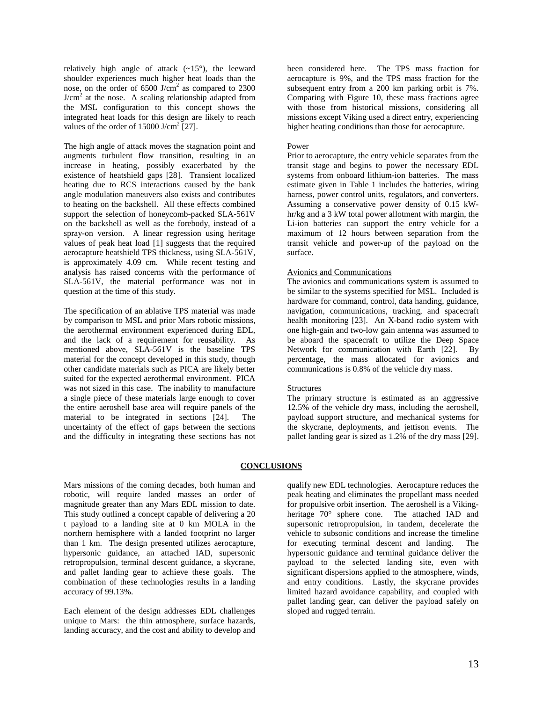relatively high angle of attack (~15°), the leeward shoulder experiences much higher heat loads than the nose, on the order of  $6500$  J/cm<sup>2</sup> as compared to 2300  $J/cm<sup>2</sup>$  at the nose. A scaling relationship adapted from the MSL configuration to this concept shows the integrated heat loads for this design are likely to reach values of the order of  $15000$  J/cm<sup>2</sup> [27].

The high angle of attack moves the stagnation point and augments turbulent flow transition, resulting in an increase in heating, possibly exacerbated by the existence of heatshield gaps [28]. Transient localized heating due to RCS interactions caused by the bank angle modulation maneuvers also exists and contributes to heating on the backshell. All these effects combined support the selection of honeycomb-packed SLA-561V on the backshell as well as the forebody, instead of a spray-on version. A linear regression using heritage values of peak heat load [1] suggests that the required aerocapture heatshield TPS thickness, using SLA-561V, is approximately 4.09 cm. While recent testing and analysis has raised concerns with the performance of SLA-561V, the material performance was not in question at the time of this study.

The specification of an ablative TPS material was made by comparison to MSL and prior Mars robotic missions, the aerothermal environment experienced during EDL, and the lack of a requirement for reusability. As mentioned above, SLA-561V is the baseline TPS material for the concept developed in this study, though other candidate materials such as PICA are likely better suited for the expected aerothermal environment. PICA was not sized in this case. The inability to manufacture a single piece of these materials large enough to cover the entire aeroshell base area will require panels of the material to be integrated in sections [24]. The uncertainty of the effect of gaps between the sections and the difficulty in integrating these sections has not

been considered here. The TPS mass fraction for aerocapture is 9%, and the TPS mass fraction for the subsequent entry from a 200 km parking orbit is 7%. Comparing with Figure 10, these mass fractions agree with those from historical missions, considering all missions except Viking used a direct entry, experiencing higher heating conditions than those for aerocapture.

## Power

Prior to aerocapture, the entry vehicle separates from the transit stage and begins to power the necessary EDL systems from onboard lithium-ion batteries. The mass estimate given in Table 1 includes the batteries, wiring harness, power control units, regulators, and converters. Assuming a conservative power density of 0.15 kWhr/kg and a 3 kW total power allotment with margin, the Li-ion batteries can support the entry vehicle for a maximum of 12 hours between separation from the transit vehicle and power-up of the payload on the surface.

## Avionics and Communications

The avionics and communications system is assumed to be similar to the systems specified for MSL. Included is hardware for command, control, data handing, guidance, navigation, communications, tracking, and spacecraft health monitoring [23]. An X-band radio system with one high-gain and two-low gain antenna was assumed to be aboard the spacecraft to utilize the Deep Space Network for communication with Earth [22]. By percentage, the mass allocated for avionics and communications is 0.8% of the vehicle dry mass.

### **Structures**

The primary structure is estimated as an aggressive 12.5% of the vehicle dry mass, including the aeroshell, payload support structure, and mechanical systems for the skycrane, deployments, and jettison events. The pallet landing gear is sized as 1.2% of the dry mass [29].

## **CONCLUSIONS**

Mars missions of the coming decades, both human and robotic, will require landed masses an order of magnitude greater than any Mars EDL mission to date. This study outlined a concept capable of delivering a 20 t payload to a landing site at 0 km MOLA in the northern hemisphere with a landed footprint no larger than 1 km. The design presented utilizes aerocapture, hypersonic guidance, an attached IAD, supersonic retropropulsion, terminal descent guidance, a skycrane, and pallet landing gear to achieve these goals. The combination of these technologies results in a landing accuracy of 99.13%.

Each element of the design addresses EDL challenges unique to Mars: the thin atmosphere, surface hazards, landing accuracy, and the cost and ability to develop and qualify new EDL technologies. Aerocapture reduces the peak heating and eliminates the propellant mass needed for propulsive orbit insertion. The aeroshell is a Vikingheritage 70° sphere cone. The attached IAD and supersonic retropropulsion, in tandem, decelerate the vehicle to subsonic conditions and increase the timeline for executing terminal descent and landing. The hypersonic guidance and terminal guidance deliver the payload to the selected landing site, even with significant dispersions applied to the atmosphere, winds, and entry conditions. Lastly, the skycrane provides limited hazard avoidance capability, and coupled with pallet landing gear, can deliver the payload safely on sloped and rugged terrain.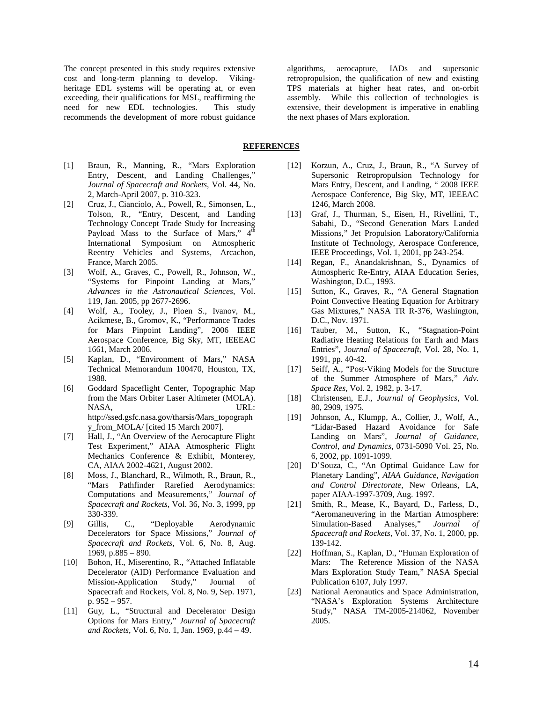The concept presented in this study requires extensive cost and long-term planning to develop. Vikingheritage EDL systems will be operating at, or even exceeding, their qualifications for MSL, reaffirming the need for new EDL technologies. This study recommends the development of more robust guidance

algorithms, aerocapture, IADs and supersonic retropropulsion, the qualification of new and existing TPS materials at higher heat rates, and on-orbit assembly. While this collection of technologies is extensive, their development is imperative in enabling the next phases of Mars exploration.

# **REFERENCES**

- [1] Braun, R., Manning, R., "Mars Exploration Entry, Descent, and Landing Challenges," *Journal of Spacecraft and Rockets*, Vol. 44, No. 2, March-April 2007, p. 310-323.
- [2] Cruz, J., Cianciolo, A., Powell, R., Simonsen, L., Tolson, R., "Entry, Descent, and Landing Technology Concept Trade Study for Increasing Payload Mass to the Surface of Mars," 4<sup>th</sup> International Symposium on Atmospheric Reentry Vehicles and Systems, Arcachon, France, March 2005.
- [3] Wolf, A., Graves, C., Powell, R., Johnson, W., "Systems for Pinpoint Landing at Mars," *Advances in the Astronautical Sciences*, Vol. 119, Jan. 2005, pp 2677-2696.
- [4] Wolf, A., Tooley, J., Ploen S., Ivanov, M., Acikmese, B., Gromov, K., "Performance Trades for Mars Pinpoint Landing", 2006 IEEE Aerospace Conference, Big Sky, MT, IEEEAC 1661, March 2006.
- [5] Kaplan, D., "Environment of Mars," NASA Technical Memorandum 100470, Houston, TX, 1988.
- [6] Goddard Spaceflight Center, Topographic Map from the Mars Orbiter Laser Altimeter (MOLA). NASA, URL: http://ssed.gsfc.nasa.gov/tharsis/Mars\_topograph y\_from\_MOLA/ [cited 15 March 2007].
- [7] Hall, J., "An Overview of the Aerocapture Flight Test Experiment," AIAA Atmospheric Flight Mechanics Conference & Exhibit, Monterey, CA, AIAA 2002-4621, August 2002.
- [8] Moss, J., Blanchard, R., Wilmoth, R., Braun, R., "Mars Pathfinder Rarefied Aerodynamics: Computations and Measurements," *Journal of Spacecraft and Rockets*, Vol. 36, No. 3, 1999, pp 330-339.
- [9] Gillis, C., "Deployable Aerodynamic Decelerators for Space Missions," *Journal of Spacecraft and Rockets*, Vol. 6, No. 8, Aug. 1969, p.885 – 890.
- [10] Bohon, H., Miserentino, R., "Attached Inflatable Decelerator (AID) Performance Evaluation and Mission-Application Study," Journal of Spacecraft and Rockets, Vol. 8, No. 9, Sep. 1971, p. 952 – 957.
- [11] Guy, L., "Structural and Decelerator Design Options for Mars Entry," *Journal of Spacecraft and Rockets*, Vol. 6, No. 1, Jan. 1969, p.44 – 49.
- [12] Korzun, A., Cruz, J., Braun, R., "A Survey of Supersonic Retropropulsion Technology for Mars Entry, Descent, and Landing, " 2008 IEEE Aerospace Conference, Big Sky, MT, IEEEAC 1246, March 2008.
- [13] Graf, J., Thurman, S., Eisen, H., Rivellini, T., Sabahi, D., "Second Generation Mars Landed Missions," Jet Propulsion Laboratory/California Institute of Technology, Aerospace Conference, IEEE Proceedings, Vol. 1, 2001, pp 243-254.
- [14] Regan, F., Anandakrishnan, S., Dynamics of Atmospheric Re-Entry, AIAA Education Series, Washington, D.C., 1993.
- [15] Sutton, K., Graves, R., "A General Stagnation Point Convective Heating Equation for Arbitrary Gas Mixtures," NASA TR R-376, Washington, D.C., Nov. 1971.
- [16] Tauber, M., Sutton, K., "Stagnation-Point" Radiative Heating Relations for Earth and Mars Entries", J*ournal of Spacecraft,* Vol. 28, No. 1, 1991, pp. 40-42.
- [17] Seiff, A., "Post-Viking Models for the Structure of the Summer Atmosphere of Mars," *Adv. Space Res*, Vol. 2, 1982, p. 3-17.
- [18] Christensen, E.J., *Journal of Geophysics*, Vol. 80, 2909, 1975.
- [19] Johnson, A., Klumpp, A., Collier, J., Wolf, A., "Lidar-Based Hazard Avoidance for Safe Landing on Mars", *Journal of Guidance, Control, and Dynamics*, 0731-5090 Vol. 25, No. 6, 2002, pp. 1091-1099.
- [20] D'Souza, C., "An Optimal Guidance Law for Planetary Landing", *AIAA Guidance, Navigation and Control Directorate*, New Orleans, LA, paper AIAA-1997-3709, Aug. 1997.
- [21] Smith, R., Mease, K., Bayard, D., Farless, D., "Aeromaneuvering in the Martian Atmosphere: Simulation-Based Analyses," *Journal of Spacecraft and Rockets*, Vol. 37, No. 1, 2000, pp. 139-142.
- [22] Hoffman, S., Kaplan, D., "Human Exploration of Mars: The Reference Mission of the NASA Mars Exploration Study Team," NASA Special Publication 6107, July 1997.
- [23] National Aeronautics and Space Administration, "NASA's Exploration Systems Architecture Study," NASA TM-2005-214062, November 2005.